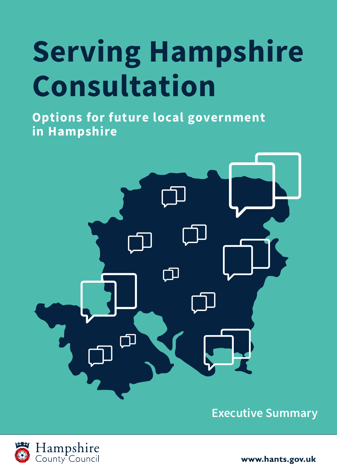# **Serving Hampshire Consultation**

**Options for future local government in Hampshire**



**Executive Summary**



www.hants.gov.uk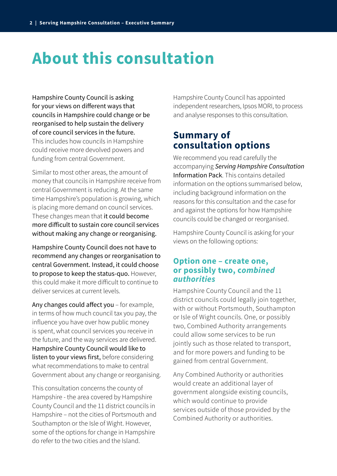## **About this consultation**

Hampshire County Council is asking for your views on different ways that councils in Hampshire could change or be reorganised to help sustain the delivery of core council services in the future. This includes how councils in Hampshire could receive more devolved powers and funding from central Government.

Similar to most other areas, the amount of money that councils in Hampshire receive from central Government is reducing. At the same time Hampshire's population is growing, which is placing more demand on council services. These changes mean that it could become more difficult to sustain core council services without making any change or reorganising.

Hampshire County Council does not have to recommend any changes or reorganisation to central Government. Instead, it could choose to propose to keep the status-quo. However, this could make it more difficult to continue to deliver services at current levels.

Any changes could affect you – for example, in terms of how much council tax you pay, the influence you have over how public money is spent, what council services you receive in the future, and the way services are delivered. Hampshire County Council would like to listen to your views first, before considering what recommendations to make to central Government about any change or reorganising.

This consultation concerns the county of Hampshire - the area covered by Hampshire County Council and the 11 district councils in Hampshire – not the cities of Portsmouth and Southampton or the Isle of Wight. However, some of the options for change in Hampshire do refer to the two cities and the Island.

Hampshire County Council has appointed independent researchers, Ipsos MORI, to process and analyse responses to this consultation.

#### **Summary of consultation options**

We recommend you read carefully the accompanying *Serving Hampshire Consultation* Information Pack. This contains detailed information on the options summarised below, including background information on the reasons for this consultation and the case for and against the options for how Hampshire councils could be changed or reorganised.

Hampshire County Council is asking for your views on the following options:

#### **Option one – create one, or possibly two, c***ombined authorities*

Hampshire County Council and the 11 district councils could legally join together, with or without Portsmouth, Southampton or Isle of Wight councils. One, or possibly two, Combined Authority arrangements could allow some services to be run jointly such as those related to transport, and for more powers and funding to be gained from central Government.

Any Combined Authority or authorities would create an additional layer of government alongside existing councils, which would continue to provide services outside of those provided by the Combined Authority or authorities.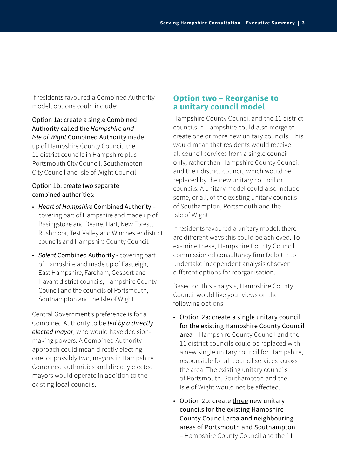If residents favoured a Combined Authority model, options could include:

Option 1a: create a single Combined Authority called the *Hampshire and Isle of Wight* Combined Authority made up of Hampshire County Council, the 11 district councils in Hampshire plus Portsmouth City Council, Southampton City Council and Isle of Wight Council.

#### Option 1b: create two separate combined authorities:

- *Heart of Hampshire* Combined Authority covering part of Hampshire and made up of Basingstoke and Deane, Hart, New Forest, Rushmoor, Test Valley and Winchester district councils and Hampshire County Council.
- *Solent* Combined Authority covering part of Hampshire and made up of Eastleigh, East Hampshire, Fareham, Gosport and Havant district councils, Hampshire County Council and the councils of Portsmouth, Southampton and the Isle of Wight.

Central Government's preference is for a Combined Authority to be *led by a directly elected mayor*, who would have decisionmaking powers. A Combined Authority approach could mean directly electing one, or possibly two, mayors in Hampshire. Combined authorities and directly elected mayors would operate in addition to the existing local councils.

#### **Option two – Reorganise to a unitary council model**

Hampshire County Council and the 11 district councils in Hampshire could also merge to create one or more new unitary councils. This would mean that residents would receive all council services from a single council only, rather than Hampshire County Council and their district council, which would be replaced by the new unitary council or councils. A unitary model could also include some, or all, of the existing unitary councils of Southampton, Portsmouth and the Isle of Wight.

If residents favoured a unitary model, there are different ways this could be achieved. To examine these, Hampshire County Council commissioned consultancy firm Deloitte to undertake independent analysis of seven different options for reorganisation.

Based on this analysis, Hampshire County Council would like your views on the following options:

- Option 2a: create a single unitary council for the existing Hampshire County Council area – Hampshire County Council and the 11 district councils could be replaced with a new single unitary council for Hampshire, responsible for all council services across the area. The existing unitary councils of Portsmouth, Southampton and the Isle of Wight would not be affected.
- Option 2b: create three new unitary councils for the existing Hampshire County Council area and neighbouring areas of Portsmouth and Southampton – Hampshire County Council and the 11